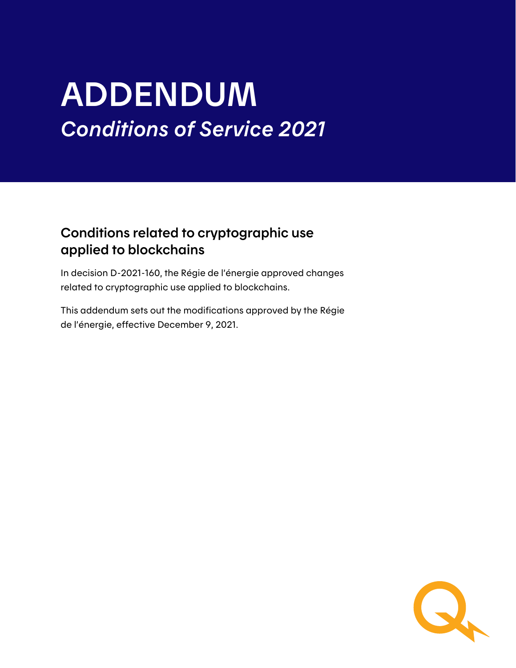# ADDENDUM *Conditions of Service 2021*

### Conditions related to cryptographic use applied to blockchains

In decision D-2021-160, the Régie de l'énergie approved changes related to cryptographic use applied to blockchains.

This addendum sets out the modifications approved by the Régie de l'énergie, effective December 9, 2021.

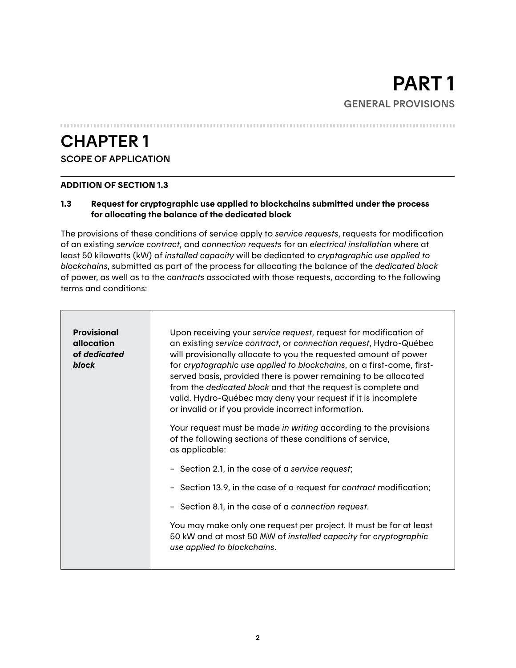## CHAPTER 1

#### SCOPE OF APPLICATION

#### ADDITION OF SECTION 1.3

#### 1.3 Request for cryptographic use applied to blockchains submitted under the process for allocating the balance of the dedicated block

The provisions of these conditions of service apply to *service requests*, requests for modification of an existing *service contract*, and *connection requests* for an *electrical installation* where at least 50 kilowatts (kW) of *installed capacity* will be dedicated to *cryptographic use applied to blockchains*, submitted as part of the process for allocating the balance of the *dedicated block* of power, as well as to the *contracts* associated with those requests, according to the following terms and conditions:

| Provisional<br>allocation<br>of dedicated<br>block | Upon receiving your service request, request for modification of<br>an existing service contract, or connection request, Hydro-Québec<br>will provisionally allocate to you the requested amount of power<br>for cryptographic use applied to blockchains, on a first-come, first-<br>served basis, provided there is power remaining to be allocated<br>from the dedicated block and that the request is complete and<br>valid. Hydro-Québec may deny your request if it is incomplete<br>or invalid or if you provide incorrect information. |
|----------------------------------------------------|------------------------------------------------------------------------------------------------------------------------------------------------------------------------------------------------------------------------------------------------------------------------------------------------------------------------------------------------------------------------------------------------------------------------------------------------------------------------------------------------------------------------------------------------|
|                                                    | Your request must be made in writing according to the provisions<br>of the following sections of these conditions of service,<br>as applicable:                                                                                                                                                                                                                                                                                                                                                                                                |
|                                                    | - Section 2.1, in the case of a service request;                                                                                                                                                                                                                                                                                                                                                                                                                                                                                               |
|                                                    | - Section 13.9, in the case of a request for contract modification;                                                                                                                                                                                                                                                                                                                                                                                                                                                                            |
|                                                    | - Section 8.1, in the case of a connection request.                                                                                                                                                                                                                                                                                                                                                                                                                                                                                            |
|                                                    | You may make only one request per project. It must be for at least<br>50 kW and at most 50 MW of installed capacity for cryptographic<br>use applied to blockchains.                                                                                                                                                                                                                                                                                                                                                                           |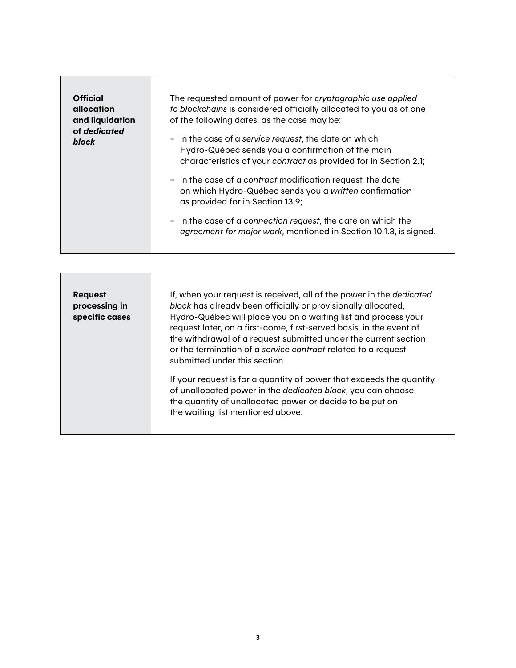| <b>Official</b><br>allocation<br>and liquidation<br>of dedicated<br>block | The requested amount of power for cryptographic use applied<br>to blockchains is considered officially allocated to you as of one<br>of the following dates, as the case may be: |
|---------------------------------------------------------------------------|----------------------------------------------------------------------------------------------------------------------------------------------------------------------------------|
|                                                                           | - in the case of a service request, the date on which<br>Hydro-Québec sends you a confirmation of the main<br>characteristics of your contract as provided for in Section 2.1;   |
|                                                                           | - in the case of a contract modification request, the date<br>on which Hydro-Québec sends you a written confirmation<br>as provided for in Section 13.9;                         |
|                                                                           | - in the case of a connection request, the date on which the<br>agreement for major work, mentioned in Section 10.1.3, is signed.                                                |

| <b>Request</b><br>processing in<br>specific cases | If, when your request is received, all of the power in the dedicated<br>block has already been officially or provisionally allocated,<br>Hydro-Québec will place you on a waiting list and process your<br>request later, on a first-come, first-served basis, in the event of<br>the withdrawal of a request submitted under the current section<br>or the termination of a service contract related to a request<br>submitted under this section. |
|---------------------------------------------------|-----------------------------------------------------------------------------------------------------------------------------------------------------------------------------------------------------------------------------------------------------------------------------------------------------------------------------------------------------------------------------------------------------------------------------------------------------|
|                                                   | If your request is for a quantity of power that exceeds the quantity<br>of unallocated power in the dedicated block, you can choose<br>the quantity of unallocated power or decide to be put on<br>the waiting list mentioned above.                                                                                                                                                                                                                |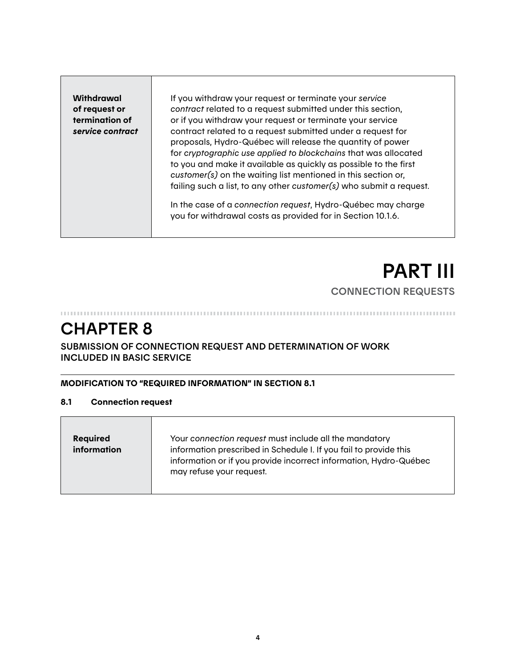**Withdrawal** of request or termination of *service contract*

If you withdraw your request or terminate your *service contract* related to a request submitted under this section, or if you withdraw your request or terminate your service contract related to a request submitted under a request for proposals, Hydro-Québec will release the quantity of power for *cryptographic use applied to blockchains* that was allocated to you and make it available as quickly as possible to the first *customer(s)* on the waiting list mentioned in this section or, failing such a list, to any other *customer(s)* who submit a request.

In the case of a *connection request*, Hydro-Québec may charge you for withdrawal costs as provided for in Section 10.1.6.

## PART III CONNECTION REQUESTS

### CHAPTER 8

#### SUBMISSION OF CONNECTION REQUEST AND DETERMINATION OF WORK INCLUDED IN BASIC SERVICE

#### MODIFICATION TO "REQUIRED INFORMATION" IN SECTION 8.1

#### 8.1 Connection request

| Your connection request must include all the mandatory<br><b>Required</b><br>information<br>information prescribed in Schedule I. If you fail to provide this<br>information or if you provide incorrect information, Hydro-Québec<br>may refuse your request. |  |
|----------------------------------------------------------------------------------------------------------------------------------------------------------------------------------------------------------------------------------------------------------------|--|
|----------------------------------------------------------------------------------------------------------------------------------------------------------------------------------------------------------------------------------------------------------------|--|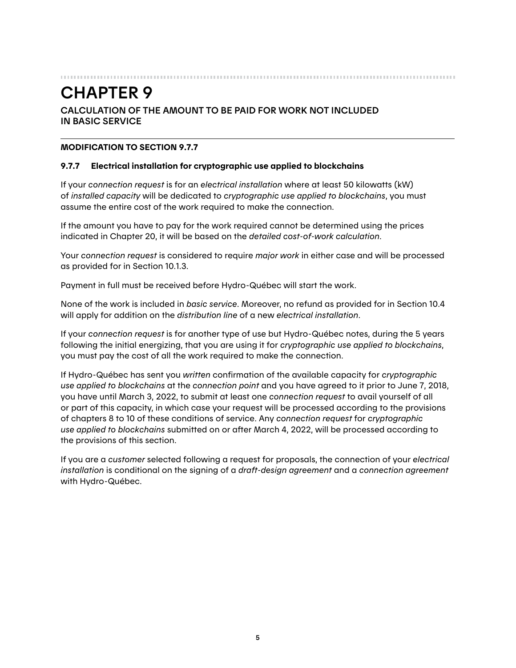## CHAPTER 9

#### CALCULATION OF THE AMOUNT TO BE PAID FOR WORK NOT INCLUDED IN BASIC SERVICE

#### MODIFICATION TO SECTION 9.7.7

#### 9.7.7 Electrical installation for cryptographic use applied to blockchains

If your *connection request* is for an *electrical installation* where at least 50 kilowatts (kW) of *installed capacity* will be dedicated to *cryptographic use applied to blockchains*, you must assume the entire cost of the work required to make the connection.

If the amount you have to pay for the work required cannot be determined using the prices indicated in Chapter 20, it will be based on the *detailed cost-of-work calculation*.

Your *connection request* is considered to require *major work* in either case and will be processed as provided for in Section 10.1.3.

Payment in full must be received before Hydro-Québec will start the work.

None of the work is included in *basic service*. Moreover, no refund as provided for in Section 10.4 will apply for addition on the *distribution line* of a new *electrical installation*.

If your *connection request* is for another type of use but Hydro-Québec notes, during the 5 years following the initial energizing, that you are using it for *cryptographic use applied to blockchains*, you must pay the cost of all the work required to make the connection.

If Hydro-Québec has sent you *written* confirmation of the available capacity for *cryptographic use applied to blockchains* at the *connection point* and you have agreed to it prior to June 7, 2018, you have until March 3, 2022, to submit at least one *connection request* to avail yourself of all or part of this capacity, in which case your request will be processed according to the provisions of chapters 8 to 10 of these conditions of service. Any *connection request* for *cryptographic use applied to blockchains* submitted on or after March 4, 2022, will be processed according to the provisions of this section.

If you are a *customer* selected following a request for proposals, the connection of your *electrical installation* is conditional on the signing of a *draft-design agreement* and a *connection agreement* with Hydro-Québec.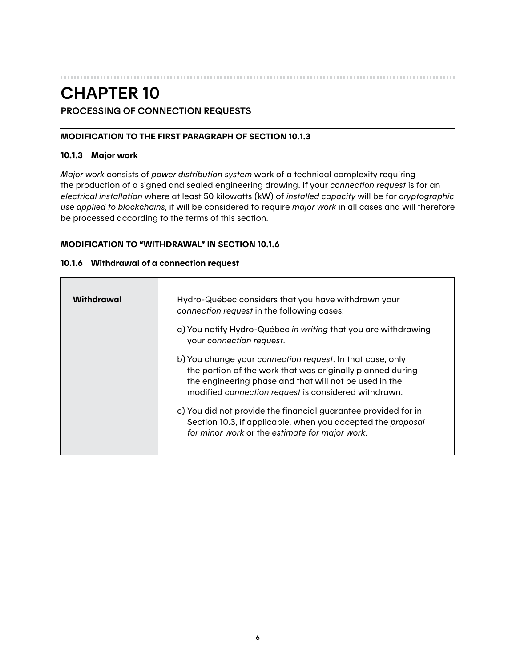#### CHAPTER 10 PROCESSING OF CONNECTION REQUESTS

#### MODIFICATION TO THE FIRST PARAGRAPH OF SECTION 10.1.3

#### 10.1.3 Major work

*Major work* consists of *power distribution system* work of a technical complexity requiring the production of a signed and sealed engineering drawing. If your *connection request* is for an *electrical installation* where at least 50 kilowatts (kW) of *installed capacity* will be for *cryptographic use applied to blockchains*, it will be considered to require *major work* in all cases and will therefore be processed according to the terms of this section.

#### MODIFICATION TO "WITHDRAWAL" IN SECTION 10.1.6

#### 10.1.6 Withdrawal of a connection request

| Hydro-Québec considers that you have withdrawn your<br>connection request in the following cases:                                                                                                                                         |
|-------------------------------------------------------------------------------------------------------------------------------------------------------------------------------------------------------------------------------------------|
| a) You notify Hydro-Québec in writing that you are withdrawing<br>your connection request.                                                                                                                                                |
| b) You change your connection request. In that case, only<br>the portion of the work that was originally planned during<br>the engineering phase and that will not be used in the<br>modified connection request is considered withdrawn. |
| c) You did not provide the financial guarantee provided for in<br>Section 10.3, if applicable, when you accepted the proposal<br>for minor work or the estimate for major work.                                                           |
|                                                                                                                                                                                                                                           |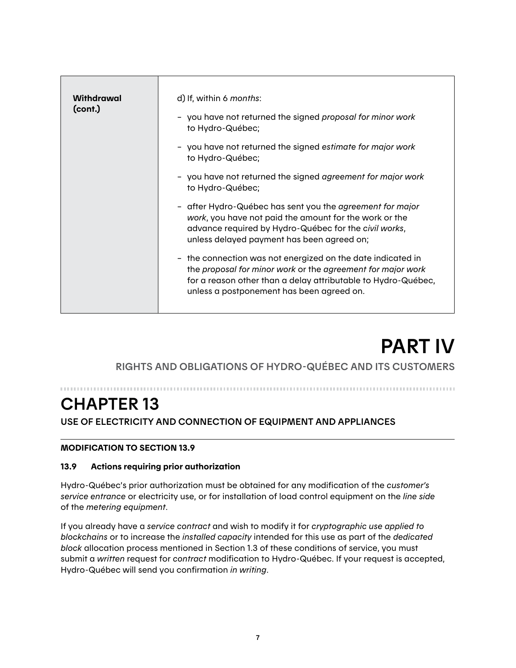| Withdrawal<br>(cont.) | d) If, within 6 months:                                                                                                                                                                                                                  |
|-----------------------|------------------------------------------------------------------------------------------------------------------------------------------------------------------------------------------------------------------------------------------|
|                       | - you have not returned the signed proposal for minor work<br>to Hydro-Québec;                                                                                                                                                           |
|                       | - you have not returned the signed estimate for major work<br>to Hydro-Québec;                                                                                                                                                           |
|                       | - you have not returned the signed agreement for major work<br>to Hydro-Québec;                                                                                                                                                          |
|                       | - after Hydro-Québec has sent you the agreement for major<br>work, you have not paid the amount for the work or the<br>advance required by Hydro-Québec for the civil works,<br>unless delayed payment has been agreed on;               |
|                       | - the connection was not energized on the date indicated in<br>the proposal for minor work or the agreement for major work<br>for a reason other than a delay attributable to Hydro-Québec,<br>unless a postponement has been agreed on. |
|                       |                                                                                                                                                                                                                                          |

## PART IV

RIGHTS AND OBLIGATIONS OF HYDRO-QUÉBEC AND ITS CUSTOMERS

## CHAPTER 13

USE OF ELECTRICITY AND CONNECTION OF EQUIPMENT AND APPLIANCES

#### MODIFICATION TO SECTION 13.9

#### 13.9 Actions requiring prior authorization

Hydro-Québec's prior authorization must be obtained for any modification of the *customer's service entrance* or electricity use, or for installation of load control equipment on the *line side* of the *metering equipment*.

If you already have a *service contract* and wish to modify it for *cryptographic use applied to blockchains* or to increase the *installed capacity* intended for this use as part of the *dedicated block* allocation process mentioned in Section 1.3 of these conditions of service, you must submit a *written* request for *contract* modification to Hydro-Québec. If your request is accepted, Hydro-Québec will send you confirmation *in writing*.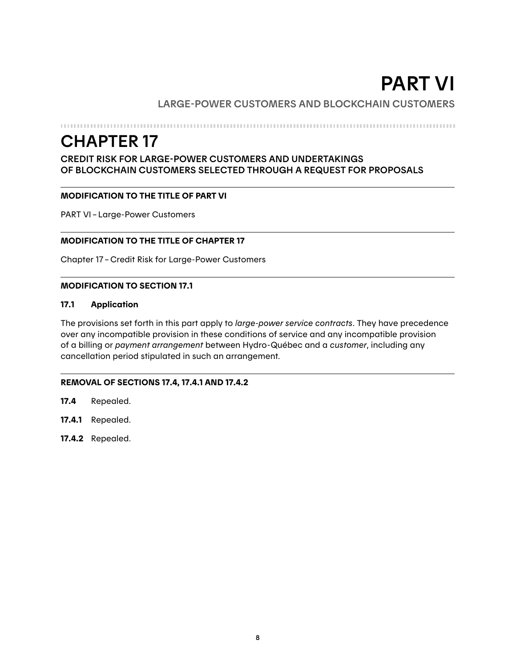## PART VI

#### LARGE-POWER CUSTOMERS AND BLOCKCHAIN CUSTOMERS

## CHAPTER 17

#### CREDIT RISK FOR LARGE-POWER CUSTOMERS AND UNDERTAKINGS OF BLOCKCHAIN CUSTOMERS SELECTED THROUGH A REQUEST FOR PROPOSALS

#### MODIFICATION TO THE TITLE OF PART VI

PART VI–Large-Power Customers

#### MODIFICATION TO THE TITLE OF CHAPTER 17

Chapter 17–Credit Risk for Large-Power Customers

#### MODIFICATION TO SECTION 17.1

#### 17.1 Application

The provisions set forth in this part apply to *large-power service contracts*. They have precedence over any incompatible provision in these conditions of service and any incompatible provision of a billing or *payment arrangement* between Hydro-Québec and a *customer*, including any cancellation period stipulated in such an arrangement.

#### REMOVAL OF SECTIONS 17.4, 17.4.1 AND 17.4.2

- 17.4 Repealed.
- 17.4.1 Repealed.
- 17.4.2 Repealed.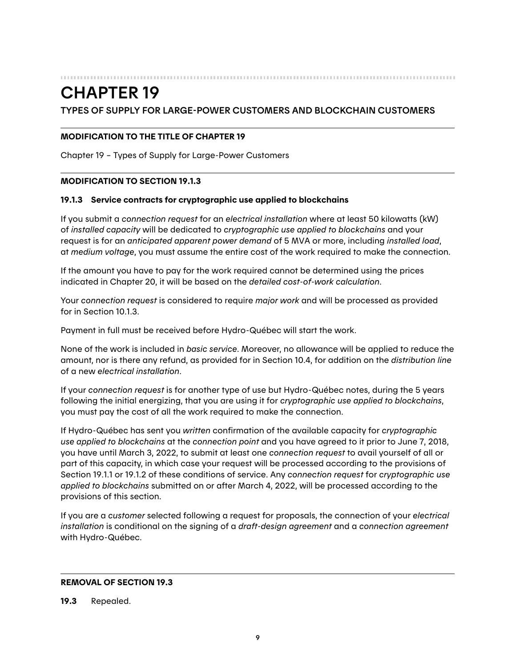#### 

### CHAPTER 19

#### TYPES OF SUPPLY FOR LARGE-POWER CUSTOMERS AND BLOCKCHAIN CUSTOMERS

#### MODIFICATION TO THE TITLE OF CHAPTER 19

Chapter 19 – Types of Supply for Large-Power Customers

#### MODIFICATION TO SECTION 19.1.3

#### 19.1.3 Service contracts for cryptographic use applied to blockchains

If you submit a *connection request* for an *electrical installation* where at least 50 kilowatts (kW) of *installed capacity* will be dedicated to *cryptographic use applied to blockchains* and your request is for an *anticipated apparent power demand* of 5 MVA or more, including *installed load*, at *medium voltage*, you must assume the entire cost of the work required to make the connection.

If the amount you have to pay for the work required cannot be determined using the prices indicated in Chapter 20, it will be based on the *detailed cost-of-work calculation*.

Your *connection request* is considered to require *major work* and will be processed as provided for in Section 10.1.3.

Payment in full must be received before Hydro-Québec will start the work.

None of the work is included in *basic service*. Moreover, no allowance will be applied to reduce the amount, nor is there any refund, as provided for in Section 10.4, for addition on the *distribution line* of a new *electrical installation*.

If your *connection request* is for another type of use but Hydro-Québec notes, during the 5 years following the initial energizing, that you are using it for *cryptographic use applied to blockchains*, you must pay the cost of all the work required to make the connection.

If Hydro-Québec has sent you *written* confirmation of the available capacity for *cryptographic use applied to blockchains* at the *connection point* and you have agreed to it prior to June 7, 2018, you have until March 3, 2022, to submit at least one *connection request* to avail yourself of all or part of this capacity, in which case your request will be processed according to the provisions of Section 19.1.1 or 19.1.2 of these conditions of service. Any *connection request* for *cryptographic use applied to blockchains* submitted on or after March 4, 2022, will be processed according to the provisions of this section.

If you are a *customer* selected following a request for proposals, the connection of your *electrical installation* is conditional on the signing of a *draft-design agreement* and a *connection agreement* with Hydro-Québec.

#### REMOVAL OF SECTION 19.3

19.3 Repealed.